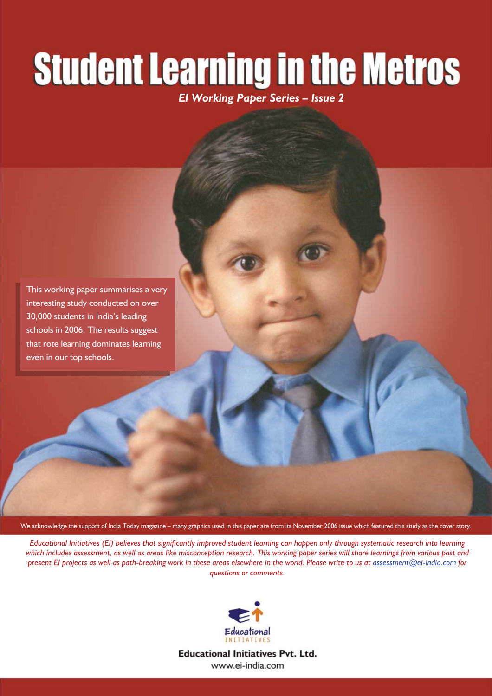# **Student Learning in the Metros**

*EI Working Paper Series – Issue 2* 

This working paper summarises a very interesting study conducted on over 30,000 students in India's leading schools in 2006. The results suggest that rote learning dominates learning even in our top schools.

We acknowledge the support of India Today magazine – many graphics used in this paper are from its November 2006 issue which featured this study as the cover story.

*Educational Initiatives (EI) believes that significantly improved student learning can happen only through systematic research into learning which includes assessment, as well as areas like misconception research. This working paper series will share learnings from various past and present EI projects as well as path-breaking work in these areas elsewhere in the world. Please write to us at assessment@ei-india.com for questions or comments.*



**Educational Initiatives Pvt. Ltd.** www.ei-india.com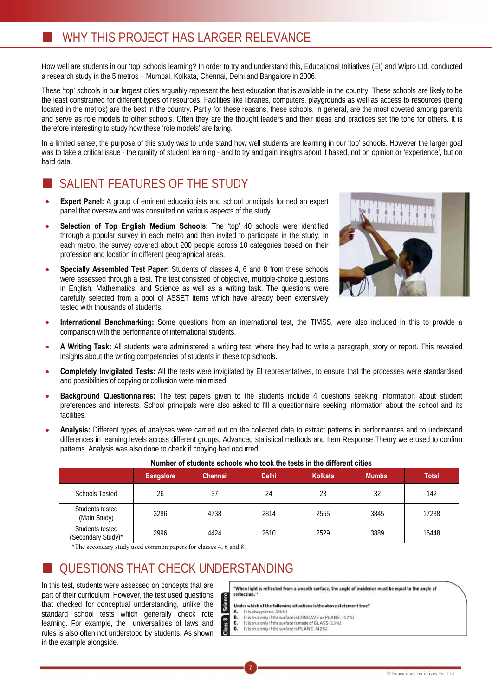How well are students in our 'top' schools learning? In order to try and understand this, Educational Initiatives (EI) and Wipro Ltd. conducted a research study in the 5 metros – Mumbai, Kolkata, Chennai, Delhi and Bangalore in 2006.

These 'top' schools in our largest cities arguably represent the best education that is available in the country. These schools are likely to be the least constrained for different types of resources. Facilities like libraries, computers, playgrounds as well as access to resources (being located in the metros) are the best in the country. Partly for these reasons, these schools, in general, are the most coveted among parents and serve as role models to other schools. Often they are the thought leaders and their ideas and practices set the tone for others. It is therefore interesting to study how these 'role models' are faring.

In a limited sense, the purpose of this study was to understand how well students are learning in our 'top' schools. However the larger goal was to take a critical issue - the quality of student learning - and to try and gain insights about it based, not on opinion or 'experience', but on hard data.

## SALIENT FEATURES OF THE STUDY

- **Expert Panel:** A group of eminent educationists and school principals formed an expert panel that oversaw and was consulted on various aspects of the study.
- Selection of Top English Medium Schools: The 'top' 40 schools were identified through a popular survey in each metro and then invited to participate in the study. In each metro, the survey covered about 200 people across 10 categories based on their profession and location in different geographical areas.
- **Specially Assembled Test Paper:** Students of classes 4, 6 and 8 from these schools were assessed through a test. The test consisted of objective, multiple-choice questions in English, Mathematics, and Science as well as a writing task. The questions were carefully selected from a pool of ASSET items which have already been extensively tested with thousands of students.



- x **International Benchmarking:** Some questions from an international test, the TIMSS, were also included in this to provide a comparison with the performance of international students.
- x **A Writing Task:** All students were administered a writing test, where they had to write a paragraph, story or report. This revealed insights about the writing competencies of students in these top schools.
- x **Completely Invigilated Tests:** All the tests were invigilated by EI representatives, to ensure that the processes were standardised and possibilities of copying or collusion were minimised.
- x **Background Questionnaires:** The test papers given to the students include 4 questions seeking information about student preferences and interests. School principals were also asked to fill a questionnaire seeking information about the school and its facilities.
- x **Analysis:** Different types of analyses were carried out on the collected data to extract patterns in performances and to understand differences in learning levels across different groups. Advanced statistical methods and Item Response Theory were used to confirm patterns. Analysis was also done to check if copying had occurred.

|                                       | <b>Bangalore</b> | <b>Chennai</b> | <b>Delhi</b> | Kolkata | <b>Mumbai</b> | <b>Total</b> |
|---------------------------------------|------------------|----------------|--------------|---------|---------------|--------------|
| <b>Schools Tested</b>                 | 26               | 37             | 24           | 23      | 32            | 142          |
| Students tested<br>(Main Study)       | 3286             | 4738           | 2814         | 2555    | 3845          | 17238        |
| Students tested<br>(Secondary Study)* | 2996             | 4424           | 2610         | 2529    | 3889          | 16448        |

| Number of students schools who took the tests in the different cities |  |
|-----------------------------------------------------------------------|--|
|-----------------------------------------------------------------------|--|

\*The secondary study used common papers for classes 4, 6 and 8.

## QUESTIONS THAT CHECK UNDERSTANDING

In this test, students were assessed on concepts that are part of their curriculum. However, the test used questions that checked for conceptual understanding, unlike the standard school tests which generally check rote learning. For example, the universalities of laws and rules is also often not understood by students. As shown in the example alongside.

"When light is reflected from a smooth surface, the angle of incidence must be equal to the angle of reflection.

**Science** Under which of the following situations is the above statement true?

- It is always true. (26%)<br>It is true only if the surface is CONCAVE or PLANE. (17%)
- A.<br>B.<br>C.
- It is true only if the surface is made of GLASS (13%)<br>It is true only if the surface is PLANE. (42%)

2

 $\overline{6}$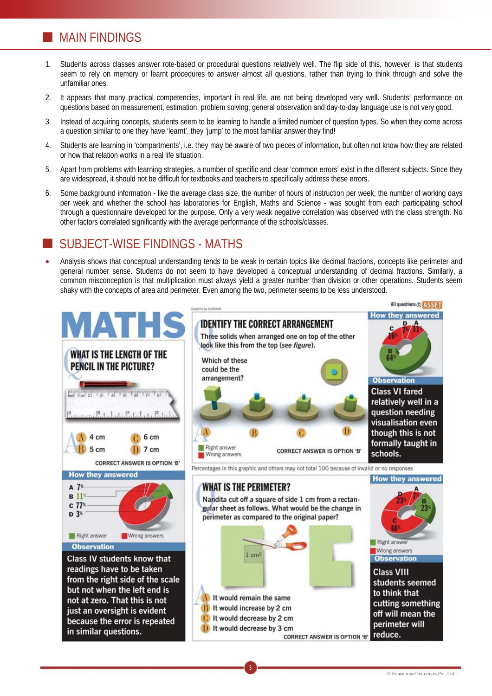## **MAIN FINDINGS**

- 1. Students across classes answer rote-based or procedural questions relatively well. The flip side of this, however, is that students seem to rely on memory or learnt procedures to answer almost all questions, rather than trying to think through and solve the unfamiliar ones.
- 2. It appears that many practical competencies, important in real life, are not being developed very well. Students' performance on questions based on measurement, estimation, problem solving, general observation and day-to-day language use is not very good.
- 3. Instead of acquiring concepts, students seem to be learning to handle a limited number of question types. So when they come across a question similar to one they have 'learnt', they 'jump' to the most familiar answer they find!
- 4. Students are learning in 'compartments', i.e. they may be aware of two pieces of information, but often not know how they are related or how that relation works in a real life situation.
- 5. Apart from problems with learning strategies, a number of specific and clear 'common errors' exist in the different subjects. Since they are widespread, it should not be difficult for textbooks and teachers to specifically address these errors.
- 6. Some background information like the average class size, the number of hours of instruction per week, the number of working days per week and whether the school has laboratories for English, Maths and Science - was sought from each participating school through a questionnaire developed for the purpose. Only a very weak negative correlation was observed with the class strength. No other factors correlated significantly with the average performance of the schools/classes.

## SUBJECT-WISE FINDINGS - MATHS

x Analysis shows that conceptual understanding tends to be weak in certain topics like decimal fractions, concepts like perimeter and general number sense. Students do not seem to have developed a conceptual understanding of decimal fractions. Similarly, a common misconception is that multiplication must always yield a greater number than division or other operations. Students seem shaky with the concepts of area and perimeter. Even among the two, perimeter seems to be less understood.

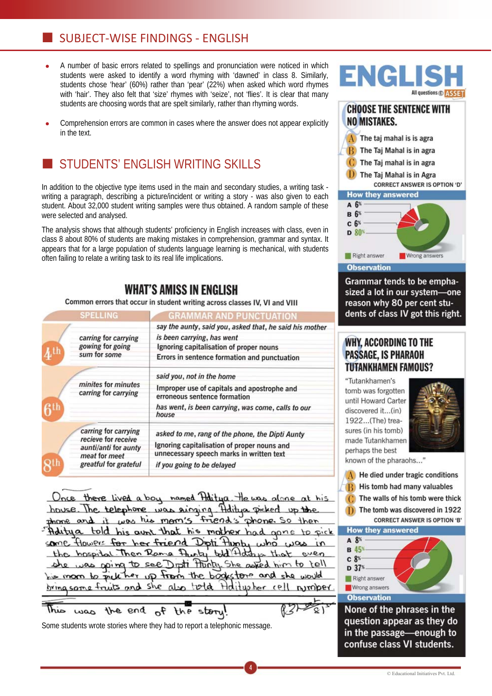## SUBJECT-WISE FINDINGS - ENGLISH

- A number of basic errors related to spellings and pronunciation were noticed in which students were asked to identify a word rhyming with 'dawned' in class 8. Similarly, students chose 'hear' (60%) rather than 'pear' (22%) when asked which word rhymes with 'hair'. They also felt that 'size' rhymes with 'seize', not 'flies'. It is clear that many students are choosing words that are spelt similarly, rather than rhyming words.
- Comprehension errors are common in cases where the answer does not appear explicitly in the text.

## STUDENTS' ENGLISH WRITING SKILLS

In addition to the objective type items used in the main and secondary studies, a writing task writing a paragraph, describing a picture/incident or writing a story - was also given to each student. About 32,000 student writing samples were thus obtained. A random sample of these were selected and analysed.

The analysis shows that although students' proficiency in English increases with class, even in class 8 about 80% of students are making mistakes in comprehension, grammar and syntax. It appears that for a large population of students language learning is mechanical, with students often failing to relate a writing task to its real life implications.

## **WHAT'S AMISS IN ENGLISH**

### Common errors that occur in student writing across classes IV, VI and VIII

|                                                          | <b>SPELLING</b>                                                                                               | <b>GRAMMAR AND PUNCTUATION</b>                                                                                                                                                   |  |  |
|----------------------------------------------------------|---------------------------------------------------------------------------------------------------------------|----------------------------------------------------------------------------------------------------------------------------------------------------------------------------------|--|--|
| carring for carrying<br>gowing for going<br>sum for some |                                                                                                               | say the aunty, said you, asked that, he said his mother<br>is been carrying, has went<br>Ignoring capitalisation of proper nouns<br>Errors in sentence formation and punctuation |  |  |
|                                                          | minites for minutes<br>carring for carrying                                                                   | said you, not in the home<br>Improper use of capitals and apostrophe and<br>erroneous sentence formation<br>has went, is been carrying, was come, calls to our<br>house          |  |  |
|                                                          | carring for carrying<br>recieve for receive<br>aunti/anti for aunty<br>meat for meet<br>greatful for grateful | asked to me, rang of the phone, the Dipti Aunty<br>Ignoring capitalisation of proper nouns and<br>unnecessary speech marks in written text<br>if you going to be delayed         |  |  |

Once there lived a boy named Haitya. He was alone at his house. The telephone was singing Aditya picked up the it was his mam's friend's phone. So then drame and Adity a told his aunt that his mother had gone to pick Howers for her friend Dipti Hunt, who some  $.10A$ the hospital Then Rame Funty told Hotching Dipti Flunty She asked him to tell was poing to see up from the bookstone and she would *k* her  $h = m$  on  $h = m$ <u>bring some fruits and</u> she also total Holitupher cell Nonta

4

This the end of story the

Some students wrote stories where they had to report a telephonic message.



## **CHOOSE THE SENTENCE WITH NO MISTAKES.**



#### **Observation**

Grammar tends to be emphasized a lot in our system-one reason why 80 per cent students of class IV got this right.

## **WHY, ACCORDING TO THE PASSAGE. IS PHARAOH TUTANKHAMEN FAMOUS?**

"Tutankhamen's tomb was forgotten until Howard Carter discovered it...(in) 1922...(The) treasures (in his tomb) made Tutankhamen perhaps the best



known of the pharaohs..."

- A He died under tragic conditions
- His tomb had many valuables  $\mathbf{R}$

The walls of his tomb were thick

The tomb was discovered in 1922  $\mathbf{D}$ **CORRECT ANSWER IS OPTION 'B'** 





None of the phrases in the question appear as they do in the passage-enough to confuse class VI students.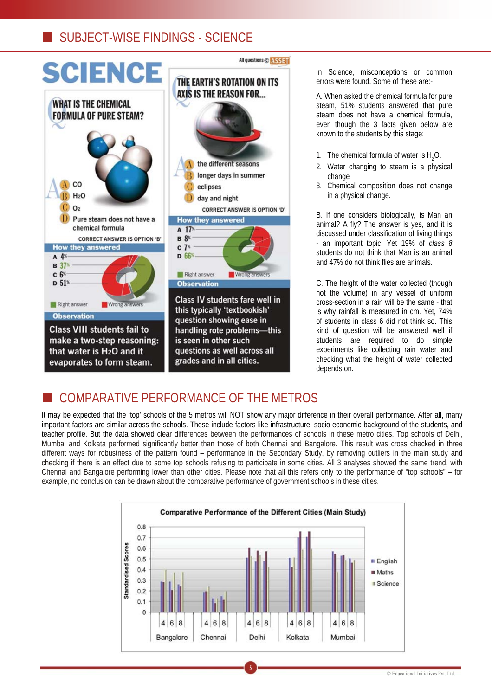## **SUBJECT-WISE FINDINGS - SCIENCE**



In Science, misconceptions or common errors were found. Some of these are:-

A. When asked the chemical formula for pure steam, 51% students answered that pure steam does not have a chemical formula, even though the 3 facts given below are known to the students by this stage:

- 1. The chemical formula of water is  $H_2O$ .
- 2. Water changing to steam is a physical change
- 3. Chemical composition does not change in a physical change.

B. If one considers biologically, is Man an animal? A fly? The answer is yes, and it is discussed under classification of living things - an important topic. Yet 19% of *class 8*  students do not think that Man is an animal and 47% do not think flies are animals.

C. The height of the water collected (though not the volume) in any vessel of uniform cross-section in a rain will be the same - that is why rainfall is measured in cm. Yet, 74% of students in class 6 did not think so. This kind of question will be answered well if students are required to do simple experiments like collecting rain water and checking what the height of water collected depends on.

## COMPARATIVE PERFORMANCE OF THE METROS

It may be expected that the 'top' schools of the 5 metros will NOT show any major difference in their overall performance. After all, many important factors are similar across the schools. These include factors like infrastructure, socio-economic background of the students, and teacher profile. But the data showed clear differences between the performances of schools in these metro cities. Top schools of Delhi, Mumbai and Kolkata performed significantly better than those of both Chennai and Bangalore. This result was cross checked in three different ways for robustness of the pattern found – performance in the Secondary Study, by removing outliers in the main study and checking if there is an effect due to some top schools refusing to participate in some cities. All 3 analyses showed the same trend, with Chennai and Bangalore performing lower than other cities. Please note that all this refers only to the performance of "top schools" – for example, no conclusion can be drawn about the comparative performance of government schools in these cities.

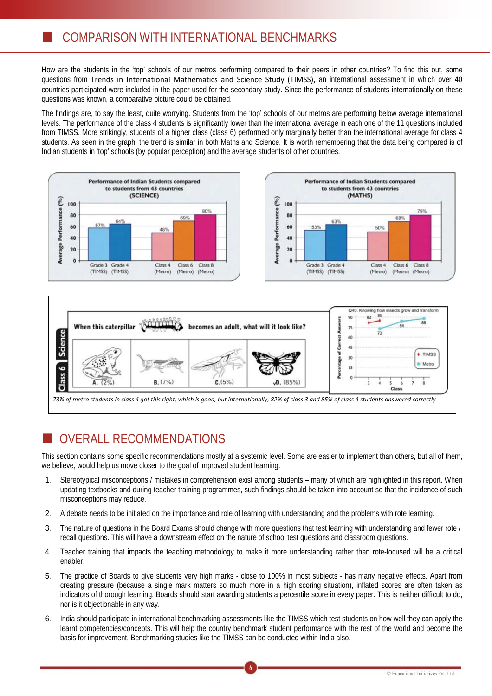How are the students in the 'top' schools of our metros performing compared to their peers in other countries? To find this out, some questions from Trends in International Mathematics and Science Study (TIMSS), an international assessment in which over 40 countries participated were included in the paper used for the secondary study. Since the performance of students internationally on these questions was known, a comparative picture could be obtained.

The findings are, to say the least, quite worrying. Students from the 'top' schools of our metros are performing below average international levels. The performance of the class 4 students is significantly lower than the international average in each one of the 11 questions included from TIMSS. More strikingly, students of a higher class (class 6) performed only marginally better than the international average for class 4 students. As seen in the graph, the trend is similar in both Maths and Science. It is worth remembering that the data being compared is of Indian students in 'top' schools (by popular perception) and the average students of other countries.





# OVERALL RECOMMENDATIONS

This section contains some specific recommendations mostly at a systemic level. Some are easier to implement than others, but all of them, we believe, would help us move closer to the goal of improved student learning.

- 1. Stereotypical misconceptions / mistakes in comprehension exist among students many of which are highlighted in this report. When updating textbooks and during teacher training programmes, such findings should be taken into account so that the incidence of such misconceptions may reduce.
- 2. A debate needs to be initiated on the importance and role of learning with understanding and the problems with rote learning.
- 3. The nature of questions in the Board Exams should change with more questions that test learning with understanding and fewer rote / recall questions. This will have a downstream effect on the nature of school test questions and classroom questions.
- 4. Teacher training that impacts the teaching methodology to make it more understanding rather than rote-focused will be a critical enabler.
- 5. The practice of Boards to give students very high marks close to 100% in most subjects has many negative effects. Apart from creating pressure (because a single mark matters so much more in a high scoring situation), inflated scores are often taken as indicators of thorough learning. Boards should start awarding students a percentile score in every paper. This is neither difficult to do, nor is it objectionable in any way.
- 6. India should participate in international benchmarking assessments like the TIMSS which test students on how well they can apply the learnt competencies/concepts. This will help the country benchmark student performance with the rest of the world and become the basis for improvement. Benchmarking studies like the TIMSS can be conducted within India also.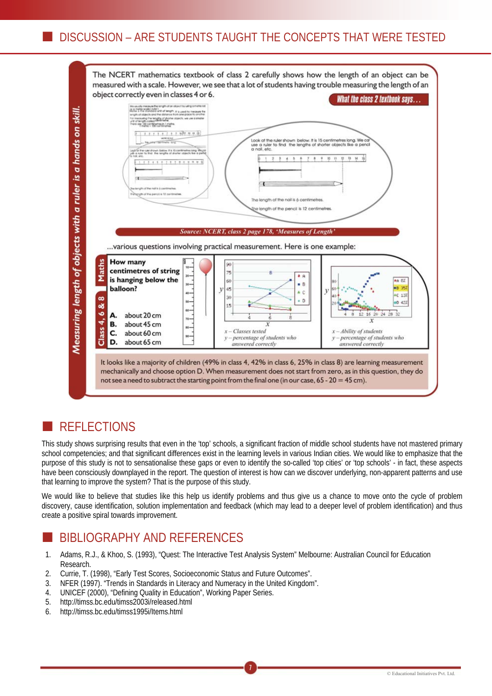

## **REFLECTIONS**

This study shows surprising results that even in the 'top' schools, a significant fraction of middle school students have not mastered primary school competencies; and that significant differences exist in the learning levels in various Indian cities. We would like to emphasize that the purpose of this study is not to sensationalise these gaps or even to identify the so-called 'top cities' or 'top schools' - in fact, these aspects have been consciously downplayed in the report. The question of interest is how can we discover underlying, non-apparent patterns and use that learning to improve the system? That is the purpose of this study.

We would like to believe that studies like this help us identify problems and thus give us a chance to move onto the cycle of problem discovery, cause identification, solution implementation and feedback (which may lead to a deeper level of problem identification) and thus create a positive spiral towards improvement.

## BIBLIOGRAPHY AND REFERENCES

1. Adams, R.J., & Khoo, S. (1993), "Quest: The Interactive Test Analysis System" Melbourne: Australian Council for Education Research.

- 2. Currie, T. (1998), "Early Test Scores, Socioeconomic Status and Future Outcomes".
- 3. NFER (1997). "Trends in Standards in Literacy and Numeracy in the United Kingdom".
- 4. UNICEF (2000), "Defining Quality in Education", Working Paper Series.
- 5. http://timss.bc.edu/timss2003i/released.html
- 6. http://timss.bc.edu/timss1995i/Items.html